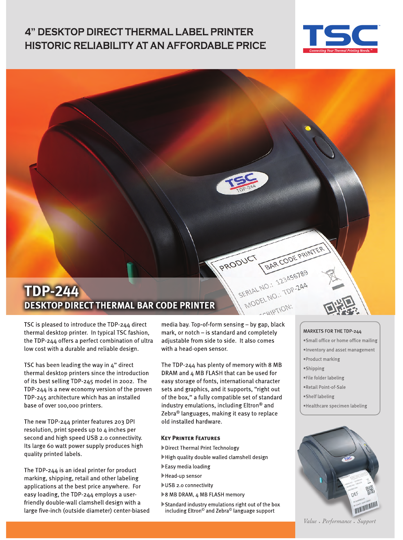### **4" DESKTOP DIRECT THERMAL LABEL PRINTER HISTORIC RELIABILITY AT AN AFFORDABLE PRICE**



## **TDP-244 DESKTOP DIRECT THERMAL BAR CODE PRINTER**

TSC is pleased to introduce the TDP-244 direct thermal desktop printer. In typical TSC fashion, the TDP-244 offers a perfect combination of ultra low cost with a durable and reliable design.

TSC has been leading the way in 4" direct thermal desktop printers since the introduction of its best selling TDP-245 model in 2002. The TDP-244 is a new economy version of the proven TDP-245 architecture which has an installed base of over 100,000 printers.

The new TDP-244 printer features 203 DPI resolution, print speeds up to 4 inches per second and high speed USB 2.0 connectivity. Its large 60 watt power supply produces high quality printed labels.

The TDP-244 is an ideal printer for product marking, shipping, retail and other labeling applications at the best price anywhere. For easy loading, the TDP-244 employs a userfriendly double-wall clamshell design with a large five-inch (outside diameter) center-biased media bay. Top-of-form sensing - by gap, black mark, or notch - is standard and completely adjustable from side to side. It also comes with a head-open sensor.

PRODUCT

The TDP-244 has plenty of memory with 8 MB DRAM and 4 MB FLASH that can be used for easy storage of fonts, international character sets and graphics, and it supports, "right out of the box," a fully compatible set of standard industry emulations, including Eltron® and Zebra<sup>®</sup> languages, making it easy to replace old installed hardware.

#### **KEY PRINTER FEATURES**

- Direct Thermal Print Technology
- High quality double walled clamshell design
- Easy media loading
- Head-up sensor
- USB 2.0 connectivity
- ▶8 MB DRAM, 4 MB FLASH memory
- Standard industry emulations right out of the box including Eltron<sup>®</sup> and Zebra<sup>®</sup> language support

#### MARKETS FOR THE TDP-244

- ·Small office or home office mailing
- . Inventory and asset management
- ·Product marking
- ·Shipping

BAR CODE PRINTER

SERIAL NO.: 123456789

- . File folder labeling
- ·Retail Point-of-Sale
- ·Shelf labeling
- ·Healthcare specimen labeling



Value • Performance • Support